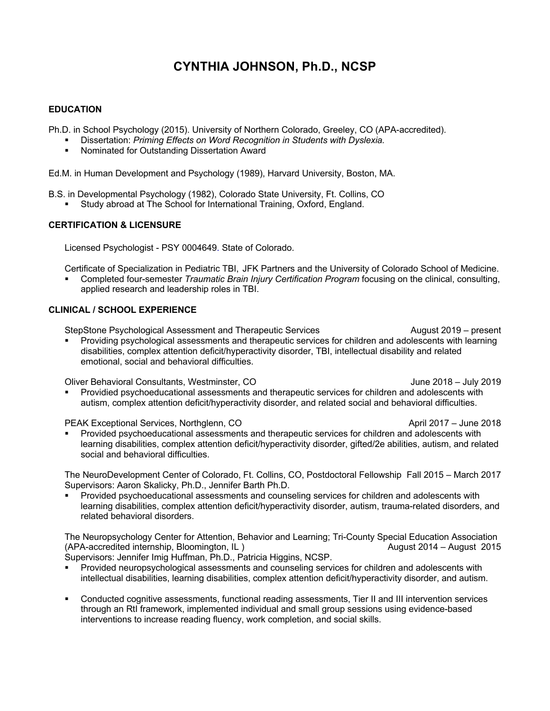# **CYNTHIA JOHNSON, Ph.D., NCSP**

## **EDUCATION**

Ph.D. in School Psychology (2015). University of Northern Colorado, Greeley, CO (APA-accredited).

- § Dissertation: *Priming Effects on Word Recognition in Students with Dyslexia.*
- § Nominated for Outstanding Dissertation Award

Ed.M. in Human Development and Psychology (1989), Harvard University, Boston, MA.

B.S. in Developmental Psychology (1982), Colorado State University, Ft. Collins, CO § Study abroad at The School for International Training, Oxford, England.

### **CERTIFICATION & LICENSURE**

Licensed Psychologist - PSY 0004649. State of Colorado.

Certificate of Specialization in Pediatric TBI, JFK Partners and the University of Colorado School of Medicine.

§ Completed four-semester *Traumatic Brain Injury Certification Program* focusing on the clinical, consulting, applied research and leadership roles in TBI.

#### **CLINICAL / SCHOOL EXPERIENCE**

StepStone Psychological Assessment and Therapeutic Services **August 2019** – present

Providing psychological assessments and therapeutic services for children and adolescents with learning disabilities, complex attention deficit/hyperactivity disorder, TBI, intellectual disability and related emotional, social and behavioral difficulties.

Oliver Behavioral Consultants, Westminster, CO June 2018 – July 2019

Providied psychoeducational assessments and therapeutic services for children and adolescents with autism, complex attention deficit/hyperactivity disorder, and related social and behavioral difficulties.

PEAK Exceptional Services, Northglenn, CO April 2017 – June 2018

§ Provided psychoeducational assessments and therapeutic services for children and adolescents with learning disabilities, complex attention deficit/hyperactivity disorder, gifted/2e abilities, autism, and related social and behavioral difficulties.

The NeuroDevelopment Center of Colorado, Ft. Collins, CO, Postdoctoral Fellowship Fall 2015 – March 2017 Supervisors: Aaron Skalicky, Ph.D., Jennifer Barth Ph.D.

§ Provided psychoeducational assessments and counseling services for children and adolescents with learning disabilities, complex attention deficit/hyperactivity disorder, autism, trauma-related disorders, and related behavioral disorders.

The Neuropsychology Center for Attention, Behavior and Learning; Tri-County Special Education Association (APA-accredited internship, Bloomington, IL) August 2014 – August 2015

Supervisors: Jennifer Imig Huffman, Ph.D., Patricia Higgins, NCSP.

- Provided neuropsychological assessments and counseling services for children and adolescents with intellectual disabilities, learning disabilities, complex attention deficit/hyperactivity disorder, and autism.
- § Conducted cognitive assessments, functional reading assessments, Tier II and III intervention services through an RtI framework, implemented individual and small group sessions using evidence-based interventions to increase reading fluency, work completion, and social skills.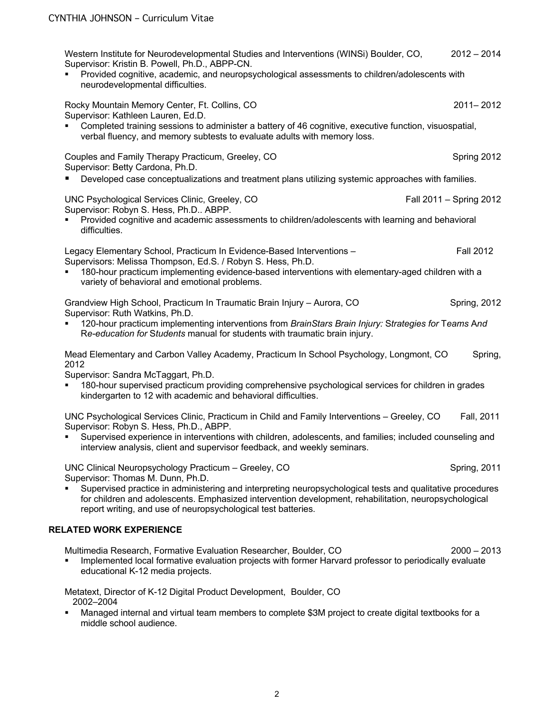|                                | Western Institute for Neurodevelopmental Studies and Interventions (WINSi) Boulder, CO,<br>Supervisor: Kristin B. Powell, Ph.D., ABPP-CN.<br>Provided cognitive, academic, and neuropsychological assessments to children/adolescents with<br>neurodevelopmental difficulties.      | $2012 - 2014$           |
|--------------------------------|-------------------------------------------------------------------------------------------------------------------------------------------------------------------------------------------------------------------------------------------------------------------------------------|-------------------------|
|                                | Rocky Mountain Memory Center, Ft. Collins, CO<br>Supervisor: Kathleen Lauren, Ed.D.<br>Completed training sessions to administer a battery of 46 cognitive, executive function, visuospatial,<br>verbal fluency, and memory subtests to evaluate adults with memory loss.           | 2011-2012               |
|                                | Couples and Family Therapy Practicum, Greeley, CO<br>Supervisor: Betty Cardona, Ph.D.                                                                                                                                                                                               | Spring 2012             |
|                                | Developed case conceptualizations and treatment plans utilizing systemic approaches with families.                                                                                                                                                                                  |                         |
|                                | UNC Psychological Services Clinic, Greeley, CO<br>Supervisor: Robyn S. Hess, Ph.D ABPP.<br>Provided cognitive and academic assessments to children/adolescents with learning and behavioral                                                                                         | Fall 2011 - Spring 2012 |
|                                | difficulties.                                                                                                                                                                                                                                                                       |                         |
|                                | Legacy Elementary School, Practicum In Evidence-Based Interventions -<br>Supervisors: Melissa Thompson, Ed.S. / Robyn S. Hess, Ph.D.                                                                                                                                                | <b>Fall 2012</b>        |
|                                | 180-hour practicum implementing evidence-based interventions with elementary-aged children with a<br>variety of behavioral and emotional problems.                                                                                                                                  |                         |
|                                | Grandview High School, Practicum In Traumatic Brain Injury - Aurora, CO                                                                                                                                                                                                             | <b>Spring, 2012</b>     |
|                                | Supervisor: Ruth Watkins, Ph.D.<br>120-hour practicum implementing interventions from BrainStars Brain Injury: Strategies for Teams And<br>Re-education for Students manual for students with traumatic brain injury.                                                               |                         |
|                                | Mead Elementary and Carbon Valley Academy, Practicum In School Psychology, Longmont, CO<br>2012                                                                                                                                                                                     | Spring,                 |
|                                | Supervisor: Sandra McTaggart, Ph.D.<br>180-hour supervised practicum providing comprehensive psychological services for children in grades<br>kindergarten to 12 with academic and behavioral difficulties.                                                                         |                         |
|                                | UNC Psychological Services Clinic, Practicum in Child and Family Interventions - Greeley, CO<br>Supervisor: Robyn S. Hess, Ph.D., ABPP.                                                                                                                                             | Fall, 2011              |
|                                | Supervised experience in interventions with children, adolescents, and families; included counseling and<br>interview analysis, client and supervisor feedback, and weekly seminars.                                                                                                |                         |
|                                | UNC Clinical Neuropsychology Practicum - Greeley, CO<br>Supervisor: Thomas M. Dunn, Ph.D.                                                                                                                                                                                           | Spring, 2011            |
|                                | Supervised practice in administering and interpreting neuropsychological tests and qualitative procedures<br>for children and adolescents. Emphasized intervention development, rehabilitation, neuropsychological<br>report writing, and use of neuropsychological test batteries. |                         |
| <b>RELATED WORK EXPERIENCE</b> |                                                                                                                                                                                                                                                                                     |                         |
|                                | Multimedia Research, Formative Evaluation Researcher, Boulder, CO<br>Implemented local formative evaluation projects with former Harvard professor to periodically evaluate<br>educational K-12 media projects.                                                                     | $2000 - 2013$           |
|                                | Metatext, Director of K-12 Digital Product Development, Boulder, CO<br>2002-2004                                                                                                                                                                                                    |                         |

■ Managed internal and virtual team members to complete \$3M project to create digital textbooks for a middle school audience.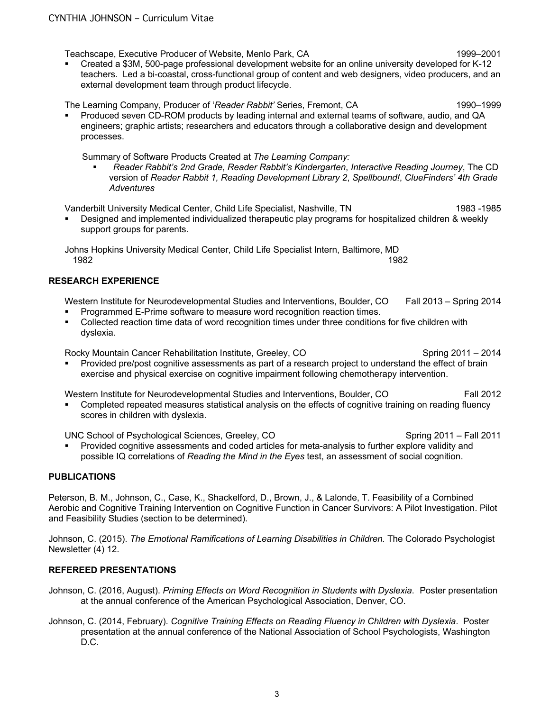Teachscape, Executive Producer of Website, Menlo Park, CA 1999–2001

§ Created a \$3M, 500-page professional development website for an online university developed for K-12 teachers. Led a bi-coastal, cross-functional group of content and web designers, video producers, and an external development team through product lifecycle.

The Learning Company, Producer of '*Reader Rabbit'* Series, Fremont, CA 1990–1999

§ Produced seven CD-ROM products by leading internal and external teams of software, audio, and QA engineers; graphic artists; researchers and educators through a collaborative design and development processes.

Summary of Software Products Created at *The Learning Company:*

§ *Reader Rabbit's 2nd Grade*, *Reader Rabbit's Kindergarten*, *Interactive Reading Journey*, The CD version of *Reader Rabbit 1, Reading Development Library 2*, *Spellbound!*, *ClueFinders' 4th Grade Adventures*

Vanderbilt University Medical Center, Child Life Specialist, Nashville, TN 1983 -1985

§ Designed and implemented individualized therapeutic play programs for hospitalized children & weekly support groups for parents.

Johns Hopkins University Medical Center, Child Life Specialist Intern, Baltimore, MD 1982 1982

## **RESEARCH EXPERIENCE**

Western Institute for Neurodevelopmental Studies and Interventions, Boulder, CO Fall 2013 – Spring 2014

- § Programmed E-Prime software to measure word recognition reaction times.
- Collected reaction time data of word recognition times under three conditions for five children with dyslexia.

Rocky Mountain Cancer Rehabilitation Institute, Greeley, CO Spring 2011 – 2014

§ Provided pre/post cognitive assessments as part of a research project to understand the effect of brain exercise and physical exercise on cognitive impairment following chemotherapy intervention.

Western Institute for Neurodevelopmental Studies and Interventions, Boulder, CO Fall 2012

Completed repeated measures statistical analysis on the effects of cognitive training on reading fluency scores in children with dyslexia.

UNC School of Psychological Sciences, Greeley, CO Spring 2011 – Fall 2011 – Spring 2011 – Fall 2011

§ Provided cognitive assessments and coded articles for meta-analysis to further explore validity and possible IQ correlations of *Reading the Mind in the Eyes* test, an assessment of social cognition.

## **PUBLICATIONS**

Peterson, B. M., Johnson, C., Case, K., Shackelford, D., Brown, J., & Lalonde, T. Feasibility of a Combined Aerobic and Cognitive Training Intervention on Cognitive Function in Cancer Survivors: A Pilot Investigation. Pilot and Feasibility Studies (section to be determined).

Johnson, C. (2015). *The Emotional Ramifications of Learning Disabilities in Children.* The Colorado Psychologist Newsletter (4) 12.

# **REFEREED PRESENTATIONS**

- Johnson, C. (2016, August). *Priming Effects on Word Recognition in Students with Dyslexia*. Poster presentation at the annual conference of the American Psychological Association, Denver, CO.
- Johnson, C. (2014, February). *Cognitive Training Effects on Reading Fluency in Children with Dyslexia*. Poster presentation at the annual conference of the National Association of School Psychologists, Washington D.C.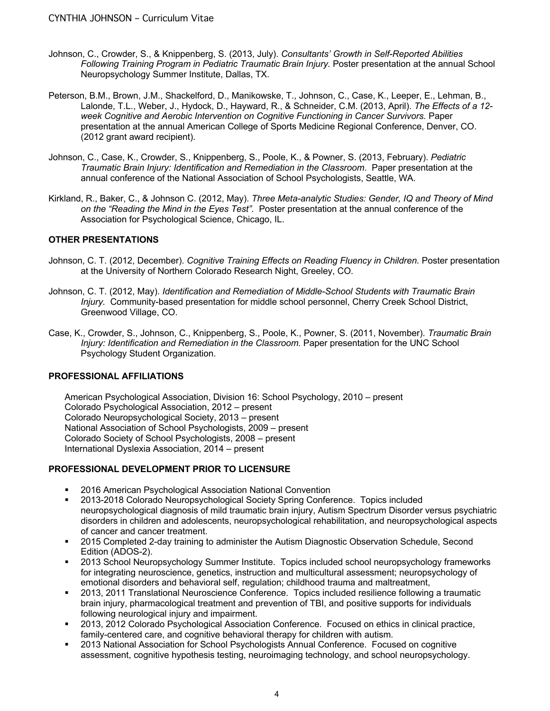- Johnson, C., Crowder, S., & Knippenberg, S. (2013, July). *Consultants' Growth in Self-Reported Abilities*  Following Training Program in Pediatric Traumatic Brain Injury. Poster presentation at the annual School Neuropsychology Summer Institute, Dallas, TX.
- Peterson, B.M., Brown, J.M., Shackelford, D., Manikowske, T., Johnson, C., Case, K., Leeper, E., Lehman, B., Lalonde, T.L., Weber, J., Hydock, D., Hayward, R., & Schneider, C.M. (2013, April). *The Effects of a 12 week Cognitive and Aerobic Intervention on Cognitive Functioning in Cancer Survivors.* Paper presentation at the annual American College of Sports Medicine Regional Conference, Denver, CO. (2012 grant award recipient).
- Johnson, C., Case, K., Crowder, S., Knippenberg, S., Poole, K., & Powner, S. (2013, February). *Pediatric Traumatic Brain Injury: Identification and Remediation in the Classroom*. Paper presentation at the annual conference of the National Association of School Psychologists, Seattle, WA.
- Kirkland, R., Baker, C., & Johnson C. (2012, May). *Three Meta-analytic Studies: Gender, IQ and Theory of Mind on the "Reading the Mind in the Eyes Test"*. Poster presentation at the annual conference of the Association for Psychological Science, Chicago, IL.

## **OTHER PRESENTATIONS**

- Johnson, C. T. (2012, December). *Cognitive Training Effects on Reading Fluency in Children.* Poster presentation at the University of Northern Colorado Research Night, Greeley, CO.
- Johnson, C. T. (2012, May). *Identification and Remediation of Middle-School Students with Traumatic Brain Injury.* Community-based presentation for middle school personnel, Cherry Creek School District, Greenwood Village, CO.
- Case, K., Crowder, S., Johnson, C., Knippenberg, S., Poole, K., Powner, S. (2011, November). *Traumatic Brain Injury: Identification and Remediation in the Classroom.* Paper presentation for the UNC School Psychology Student Organization.

## **PROFESSIONAL AFFILIATIONS**

American Psychological Association, Division 16: School Psychology, 2010 – present Colorado Psychological Association, 2012 – present Colorado Neuropsychological Society, 2013 – present National Association of School Psychologists, 2009 – present Colorado Society of School Psychologists, 2008 – present International Dyslexia Association, 2014 – present

## **PROFESSIONAL DEVELOPMENT PRIOR TO LICENSURE**

- § 2016 American Psychological Association National Convention
- § 2013-2018 Colorado Neuropsychological Society Spring Conference. Topics included neuropsychological diagnosis of mild traumatic brain injury, Autism Spectrum Disorder versus psychiatric disorders in children and adolescents, neuropsychological rehabilitation, and neuropsychological aspects of cancer and cancer treatment.
- § 2015 Completed 2-day training to administer the Autism Diagnostic Observation Schedule, Second Edition (ADOS-2).
- § 2013 School Neuropsychology Summer Institute. Topics included school neuropsychology frameworks for integrating neuroscience, genetics, instruction and multicultural assessment; neuropsychology of emotional disorders and behavioral self, regulation; childhood trauma and maltreatment,
- § 2013, 2011 Translational Neuroscience Conference. Topics included resilience following a traumatic brain injury, pharmacological treatment and prevention of TBI, and positive supports for individuals following neurological injury and impairment.
- § 2013, 2012 Colorado Psychological Association Conference. Focused on ethics in clinical practice, family-centered care, and cognitive behavioral therapy for children with autism.
- § 2013 National Association for School Psychologists Annual Conference. Focused on cognitive assessment, cognitive hypothesis testing, neuroimaging technology, and school neuropsychology.